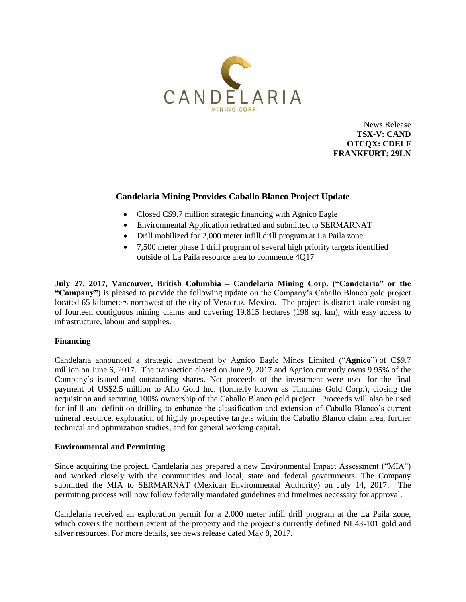

News Release **TSX-V: CAND OTCQX: CDELF FRANKFURT: 29LN**

# **Candelaria Mining Provides Caballo Blanco Project Update**

- Closed C\$9.7 million strategic financing with Agnico Eagle
- Environmental Application redrafted and submitted to SERMARNAT
- Drill mobilized for 2,000 meter infill drill program at La Paila zone
- 7,500 meter phase 1 drill program of several high priority targets identified outside of La Paila resource area to commence 4Q17

**July 27, 2017, Vancouver, British Columbia – Candelaria Mining Corp. ("Candelaria" or the "Company")** is pleased to provide the following update on the Company's Caballo Blanco gold project located 65 kilometers northwest of the city of Veracruz, Mexico. The project is district scale consisting of fourteen contiguous mining claims and covering 19,815 hectares (198 sq. km), with easy access to infrastructure, labour and supplies.

## **Financing**

Candelaria announced a strategic investment by Agnico Eagle Mines Limited ("**Agnico**") of C\$9.7 million on June 6, 2017. The transaction closed on June 9, 2017 and Agnico currently owns 9.95% of the Company's issued and outstanding shares. Net proceeds of the investment were used for the final payment of US\$2.5 million to Alio Gold Inc. (formerly known as Timmins Gold Corp.), closing the acquisition and securing 100% ownership of the Caballo Blanco gold project. Proceeds will also be used for infill and definition drilling to enhance the classification and extension of Caballo Blanco's current mineral resource, exploration of highly prospective targets within the Caballo Blanco claim area, further technical and optimization studies, and for general working capital.

#### **Environmental and Permitting**

Since acquiring the project, Candelaria has prepared a new Environmental Impact Assessment ("MIA") and worked closely with the communities and local, state and federal governments. The Company submitted the MIA to SERMARNAT (Mexican Environmental Authority) on July 14, 2017. The permitting process will now follow federally mandated guidelines and timelines necessary for approval.

Candelaria received an exploration permit for a 2,000 meter infill drill program at the La Paila zone, which covers the northern extent of the property and the project's currently defined NI 43-101 gold and silver resources. For more details, see news release dated May 8, 2017.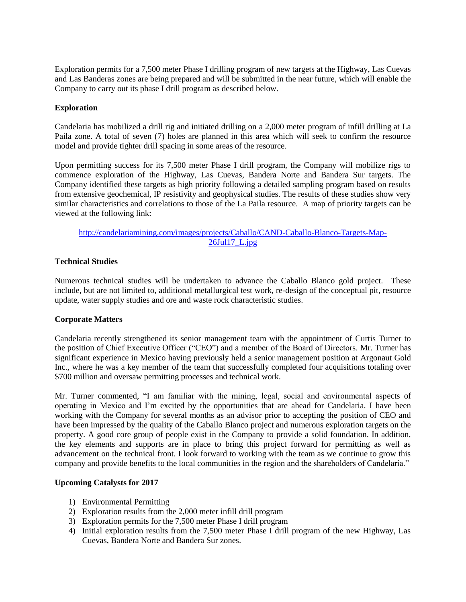Exploration permits for a 7,500 meter Phase I drilling program of new targets at the Highway, Las Cuevas and Las Banderas zones are being prepared and will be submitted in the near future, which will enable the Company to carry out its phase I drill program as described below.

### **Exploration**

Candelaria has mobilized a drill rig and initiated drilling on a 2,000 meter program of infill drilling at La Paila zone. A total of seven (7) holes are planned in this area which will seek to confirm the resource model and provide tighter drill spacing in some areas of the resource.

Upon permitting success for its 7,500 meter Phase I drill program, the Company will mobilize rigs to commence exploration of the Highway, Las Cuevas, Bandera Norte and Bandera Sur targets. The Company identified these targets as high priority following a detailed sampling program based on results from extensive geochemical, IP resistivity and geophysical studies. The results of these studies show very similar characteristics and correlations to those of the La Paila resource. A map of priority targets can be viewed at the following link:

[http://candelariamining.com/images/projects/Caballo/CAND-Caballo-Blanco-Targets-Map-](http://candelariamining.com/images/projects/Caballo/CAND-Caballo-Blanco-Targets-Map-26Jul17_L.jpg)[26Jul17\\_L.jpg](http://candelariamining.com/images/projects/Caballo/CAND-Caballo-Blanco-Targets-Map-26Jul17_L.jpg)

### **Technical Studies**

Numerous technical studies will be undertaken to advance the Caballo Blanco gold project. These include, but are not limited to, additional metallurgical test work, re-design of the conceptual pit, resource update, water supply studies and ore and waste rock characteristic studies.

#### **Corporate Matters**

Candelaria recently strengthened its senior management team with the appointment of Curtis Turner to the position of Chief Executive Officer ("CEO") and a member of the Board of Directors. Mr. Turner has significant experience in Mexico having previously held a senior management position at Argonaut Gold Inc., where he was a key member of the team that successfully completed four acquisitions totaling over \$700 million and oversaw permitting processes and technical work.

Mr. Turner commented, "I am familiar with the mining, legal, social and environmental aspects of operating in Mexico and I'm excited by the opportunities that are ahead for Candelaria. I have been working with the Company for several months as an advisor prior to accepting the position of CEO and have been impressed by the quality of the Caballo Blanco project and numerous exploration targets on the property. A good core group of people exist in the Company to provide a solid foundation. In addition, the key elements and supports are in place to bring this project forward for permitting as well as advancement on the technical front. I look forward to working with the team as we continue to grow this company and provide benefits to the local communities in the region and the shareholders of Candelaria."

#### **Upcoming Catalysts for 2017**

- 1) Environmental Permitting
- 2) Exploration results from the 2,000 meter infill drill program
- 3) Exploration permits for the 7,500 meter Phase I drill program
- 4) Initial exploration results from the 7,500 meter Phase I drill program of the new Highway, Las Cuevas, Bandera Norte and Bandera Sur zones.